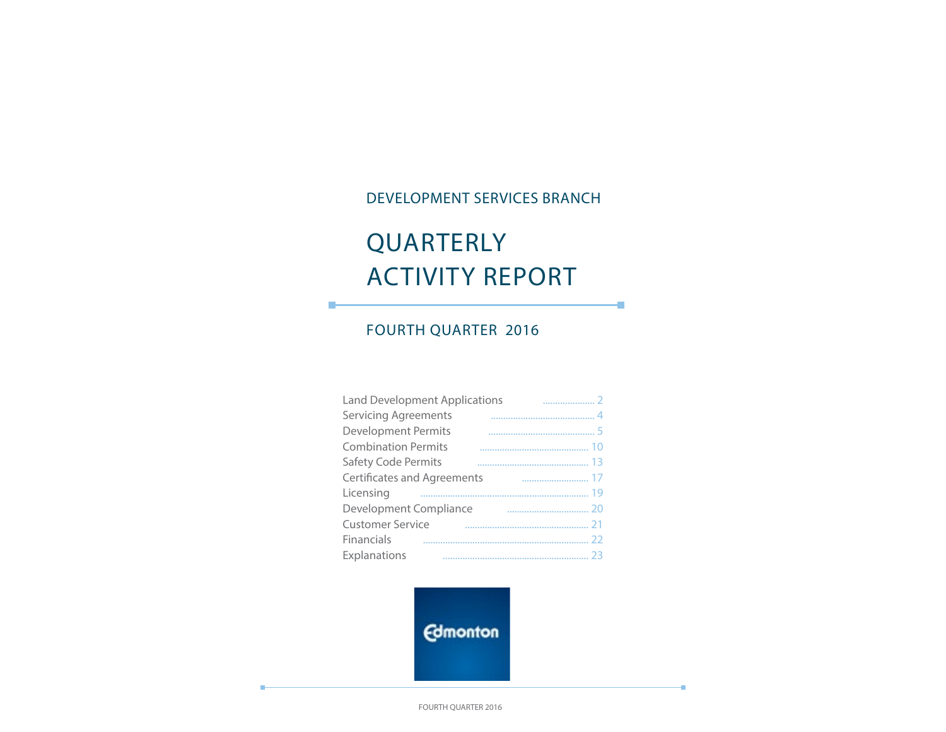### DEVELOPMENT SERVICES BRANCH

÷

×

# QUARTERLY ACTIVITY REPORT

### FOURTH QUARTER 2016

П

| <b>Land Development Applications</b> |  |
|--------------------------------------|--|
| <b>Servicing Agreements</b>          |  |
| <b>Development Permits</b>           |  |
| <b>Combination Permits</b>           |  |
| <b>Safety Code Permits</b>           |  |
| Certificates and Agreements          |  |
| Licensing                            |  |
| Development Compliance               |  |
| <b>Customer Service</b>              |  |
| Financials                           |  |
| Explanations                         |  |

**Edmonton** 

FOURTH QUARTER 2016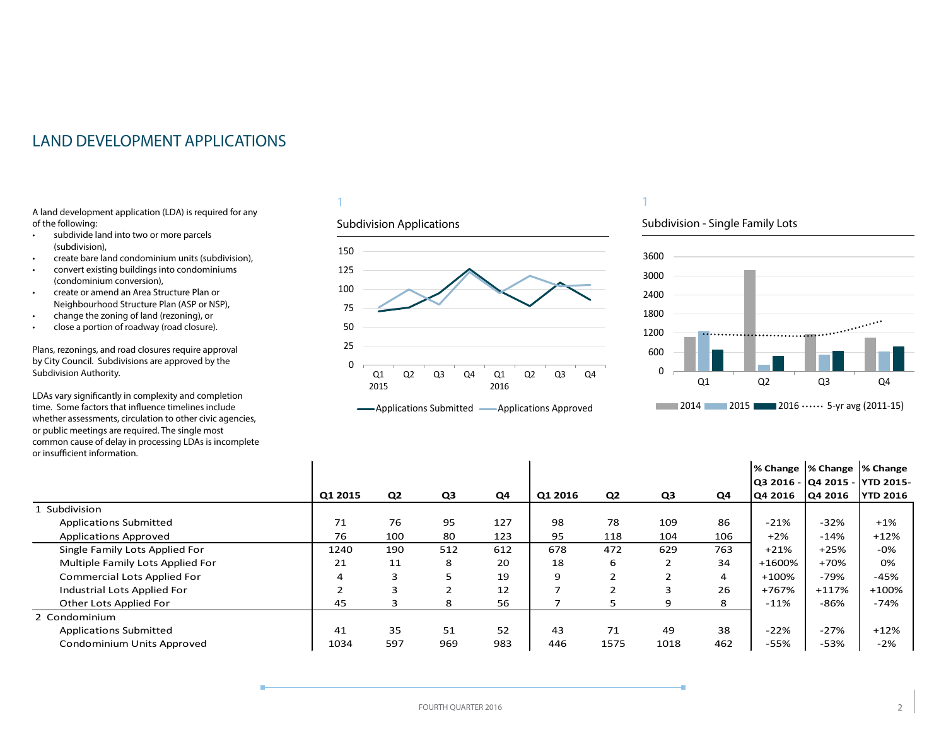### <span id="page-1-0"></span>LAND DEVELOPMENT APPLICATIONS

A land development application (LDA) is required for any of the following:

- subdivide land into two or more parcels (subdivision),
- create bare land condominium units (subdivision),
- convert existing buildings into condominiums (condominium conversion),
- create or amend an Area Structure Plan or Neighbourhood Structure Plan (ASP or NSP),
- change the zoning of land (rezoning), or
- close a portion of roadway (road closure).

Plans, rezonings, and road closures require approval by City Council. Subdivisions are approved by the Subdivision Authority.

LDAs vary significantly in complexity and completion time. Some factors that influence timelines include whether assessments, circulation to other civic agencies, or public meetings are required. The single most common cause of delay in processing LDAs is incomplete or insufficient information.

#### 1

#### Subdivision Applications





#### Subdivision - Single Family Lots



|                                    |         |                |                |     |         |                |      |                | % Change  % Change  % Change    |         |                 |
|------------------------------------|---------|----------------|----------------|-----|---------|----------------|------|----------------|---------------------------------|---------|-----------------|
|                                    |         |                |                |     |         |                |      |                | Q3 2016 -  Q4 2015 -  YTD 2015- |         |                 |
|                                    | Q1 2015 | Q <sub>2</sub> | Q <sub>3</sub> | Q4  | Q1 2016 | Q <sub>2</sub> | Q3   | Q4             | Q4 2016                         | Q4 2016 | <b>YTD 2016</b> |
| 1 Subdivision                      |         |                |                |     |         |                |      |                |                                 |         |                 |
| <b>Applications Submitted</b>      | 71      | 76             | 95             | 127 | 98      | 78             | 109  | 86             | $-21%$                          | $-32%$  | $+1%$           |
| <b>Applications Approved</b>       | 76      | 100            | 80             | 123 | 95      | 118            | 104  | 106            | $+2%$                           | $-14%$  | $+12%$          |
| Single Family Lots Applied For     | 1240    | 190            | 512            | 612 | 678     | 472            | 629  | 763            | $+21%$                          | $+25%$  | $-0\%$          |
| Multiple Family Lots Applied For   | 21      | 11             | 8              | 20  | 18      | 6              |      | 34             | +1600%                          | $+70%$  | 0%              |
| <b>Commercial Lots Applied For</b> | 4       | 3              |                | 19  | 9       |                |      | $\overline{4}$ | $+100%$                         | $-79%$  | $-45%$          |
| Industrial Lots Applied For        |         | 3              |                | 12  | ⇁       | ∍              | 3    | 26             | +767%                           | $+117%$ | $+100%$         |
| Other Lots Applied For             | 45      |                | 8              | 56  |         |                | 9    | 8              | $-11%$                          | $-86%$  | $-74%$          |
| 2 Condominium                      |         |                |                |     |         |                |      |                |                                 |         |                 |
| <b>Applications Submitted</b>      | 41      | 35             | 51             | 52  | 43      | 71             | 49   | 38             | $-22%$                          | $-27%$  | $+12%$          |
| Condominium Units Approved         | 1034    | 597            | 969            | 983 | 446     | 1575           | 1018 | 462            | $-55%$                          | $-53%$  | $-2%$           |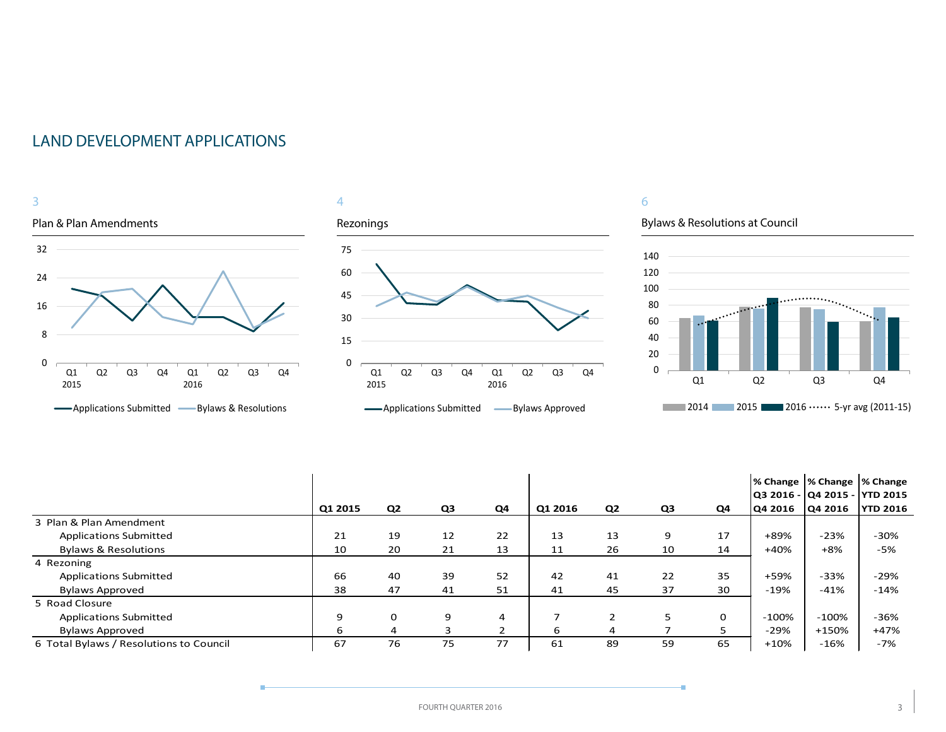



Bylaws & Resolutions at Council

÷



|                                         |         |                |    |    |         |                |    |             |                | % Change  % Change  % Change<br>Q3 2016 - Q4 2015 - YTD 2015 |                 |
|-----------------------------------------|---------|----------------|----|----|---------|----------------|----|-------------|----------------|--------------------------------------------------------------|-----------------|
|                                         | Q1 2015 | Q <sub>2</sub> | Q3 | Q4 | Q1 2016 | Q <sub>2</sub> | Q3 | Q4          | <b>Q4 2016</b> | Q4 2016                                                      | <b>YTD 2016</b> |
| 3 Plan & Plan Amendment                 |         |                |    |    |         |                |    |             |                |                                                              |                 |
| <b>Applications Submitted</b>           | 21      | 19             | 12 | 22 | 13      | 13             | 9  | 17          | +89%           | $-23%$                                                       | $-30%$          |
| <b>Bylaws &amp; Resolutions</b>         | 10      | 20             | 21 | 13 | 11      | 26             | 10 | 14          | $+40%$         | +8%                                                          | -5%             |
| 4 Rezoning                              |         |                |    |    |         |                |    |             |                |                                                              |                 |
| <b>Applications Submitted</b>           | 66      | 40             | 39 | 52 | 42      | 41             | 22 | 35          | +59%           | $-33%$                                                       | $-29%$          |
| <b>Bylaws Approved</b>                  | 38      | 47             | 41 | 51 | 41      | 45             | 37 | 30          | $-19%$         | $-41%$                                                       | $-14%$          |
| 5 Road Closure                          |         |                |    |    |         |                |    |             |                |                                                              |                 |
| <b>Applications Submitted</b>           | 9       | $\mathbf 0$    | 9  | 4  |         |                | 5. | $\mathbf 0$ | $-100\%$       | $-100%$                                                      | $-36%$          |
| <b>Bylaws Approved</b>                  | 6       | 4              |    |    | 6       | 4              |    | 5           | $-29%$         | +150%                                                        | $+47%$          |
| 6 Total Bylaws / Resolutions to Council | 67      | 76             | 75 | 77 | 61      | 89             | 59 | 65          | $+10%$         | $-16%$                                                       | $-7%$           |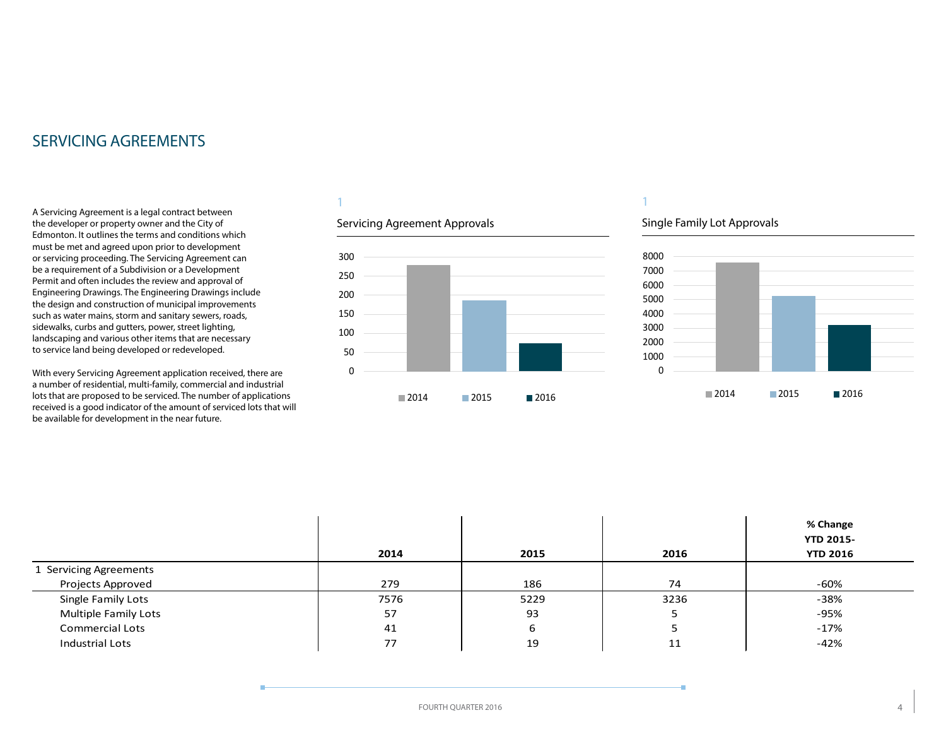### <span id="page-3-0"></span>SERVICING AGREEMENTS

A Servicing Agreement is a legal contract between the developer or property owner and the City of Edmonton. It outlines the terms and conditions which must be met and agreed upon prior to development or servicing proceeding. The Servicing Agreement can be a requirement of a Subdivision or a Development Permit and often includes the review and approval of Engineering Drawings. The Engineering Drawings include the design and construction of municipal improvements such as water mains, storm and sanitary sewers, roads, sidewalks, curbs and gutters, power, street lighting, landscaping and various other items that are necessary to service land being developed or redeveloped.

With every Servicing Agreement application received, there are a number of residential, multi-family, commercial and industrial lots that are proposed to be serviced. The number of applications received is a good indicator of the amount of serviced lots that will be available for development in the near future.

#### 1

#### Servicing Agreement Approvals



### 1

#### Single Family Lot Approvals



|                        | 2014 | 2015 | 2016 | % Change<br><b>YTD 2015-</b><br><b>YTD 2016</b> |
|------------------------|------|------|------|-------------------------------------------------|
| 1 Servicing Agreements |      |      |      |                                                 |
| Projects Approved      | 279  | 186  | 74   | -60%                                            |
| Single Family Lots     | 7576 | 5229 | 3236 | -38%                                            |
| Multiple Family Lots   | 57   | 93   | ت    | $-95%$                                          |
| <b>Commercial Lots</b> | 41   | ь    |      | $-17%$                                          |
| Industrial Lots        | 77   | 19   | 11   | $-42%$                                          |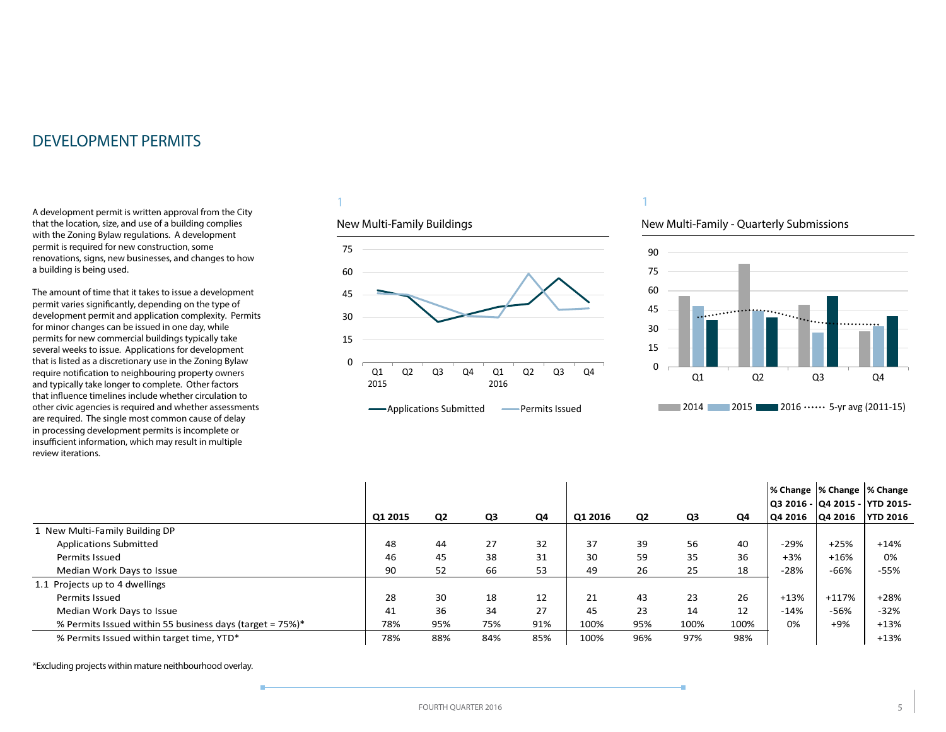<span id="page-4-0"></span>A development permit is written approval from the City that the location, size, and use of a building complies with the Zoning Bylaw regulations. A development permit is required for new construction, some renovations, signs, new businesses, and changes to how a building is being used.

The amount of time that it takes to issue a development permit varies significantly, depending on the type of development permit and application complexity. Permits for minor changes can be issued in one day, while permits for new commercial buildings typically take several weeks to issue. Applications for development that is listed as a discretionary use in the Zoning Bylaw require notification to neighbouring property owners and typically take longer to complete. Other factors that influence timelines include whether circulation to other civic agencies is required and whether assessments are required. The single most common cause of delay in processing development permits is incomplete or insufficient information, which may result in multiple review iterations.

#### 1

#### New Multi-Family Buildings



#### 1

#### New Multi-Family - Quarterly Submissions



|                                                          |         |     |                |     |         |                |      |      | % Change  % Change  % Change |                |                                                    |
|----------------------------------------------------------|---------|-----|----------------|-----|---------|----------------|------|------|------------------------------|----------------|----------------------------------------------------|
|                                                          | Q1 2015 | Q2  | Q <sub>3</sub> | Q4  | Q1 2016 | Q <sub>2</sub> | Q3   | Q4   | <b>Q4 2016</b>               | <b>Q4 2016</b> | Q3 2016 -  Q4 2015 -  YTD 2015-<br><b>YTD 2016</b> |
| 1 New Multi-Family Building DP                           |         |     |                |     |         |                |      |      |                              |                |                                                    |
| <b>Applications Submitted</b>                            | 48      | 44  | 27             | 32  | 37      | 39             | 56   | 40   | -29%                         | $+25%$         | $+14%$                                             |
| Permits Issued                                           | 46      | 45  | 38             | 31  | 30      | 59             | 35   | 36   | $+3%$                        | $+16%$         | 0%                                                 |
| Median Work Days to Issue                                | 90      | 52  | 66             | 53  | 49      | 26             | 25   | 18   | $-28%$                       | $-66%$         | -55%                                               |
| 1.1 Projects up to 4 dwellings                           |         |     |                |     |         |                |      |      |                              |                |                                                    |
| Permits Issued                                           | 28      | 30  | 18             | 12  | 21      | 43             | 23   | 26   | $+13%$                       | $+117%$        | $+28%$                                             |
| Median Work Days to Issue                                | 41      | 36  | 34             | 27  | 45      | 23             | 14   | 12   | $-14%$                       | $-56%$         | $-32%$                                             |
| % Permits Issued within 55 business days (target = 75%)* | 78%     | 95% | 75%            | 91% | 100%    | 95%            | 100% | 100% | 0%                           | $+9%$          | $+13%$                                             |
| % Permits Issued within target time, YTD*                | 78%     | 88% | 84%            | 85% | 100%    | 96%            | 97%  | 98%  |                              |                | $+13%$                                             |

\*Excluding projects within mature neithbourhood overlay.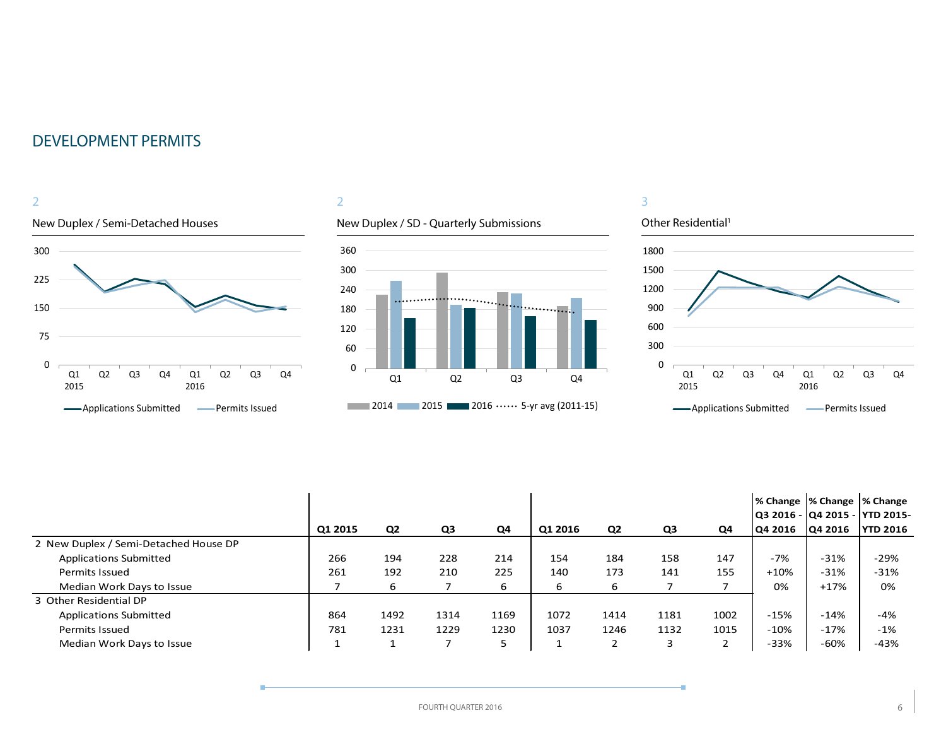

#### 2

### New Duplex / SD - Quarterly Submissions



#### 3



|                                       |         |                |      |      |         |                |      |      | % Change  % Change  % Change |         |                                 |
|---------------------------------------|---------|----------------|------|------|---------|----------------|------|------|------------------------------|---------|---------------------------------|
|                                       |         |                |      |      |         |                |      |      |                              |         | Q3 2016 -  Q4 2015 -  YTD 2015- |
|                                       | Q1 2015 | Q <sub>2</sub> | Q3   | Q4   | Q1 2016 | Q <sub>2</sub> | Q3   | Q4   | <b>Q4 2016</b>               | Q4 2016 | <b>YTD 2016</b>                 |
| 2 New Duplex / Semi-Detached House DP |         |                |      |      |         |                |      |      |                              |         |                                 |
| <b>Applications Submitted</b>         | 266     | 194            | 228  | 214  | 154     | 184            | 158  | 147  | -7%                          | $-31%$  | $-29%$                          |
| <b>Permits Issued</b>                 | 261     | 192            | 210  | 225  | 140     | 173            | 141  | 155  | $+10%$                       | $-31%$  | $-31%$                          |
| Median Work Days to Issue             |         | 6              |      | 6    | 6       | 6              |      |      | 0%                           | $+17%$  | 0%                              |
| 3 Other Residential DP                |         |                |      |      |         |                |      |      |                              |         |                                 |
| <b>Applications Submitted</b>         | 864     | 1492           | 1314 | 1169 | 1072    | 1414           | 1181 | 1002 | $-15%$                       | $-14%$  | $-4%$                           |
| <b>Permits Issued</b>                 | 781     | 1231           | 1229 | 1230 | 1037    | 1246           | 1132 | 1015 | $-10%$                       | $-17%$  | $-1%$                           |
| Median Work Days to Issue             |         |                |      |      |         |                | 3    |      | $-33%$                       | -60%    | $-43%$                          |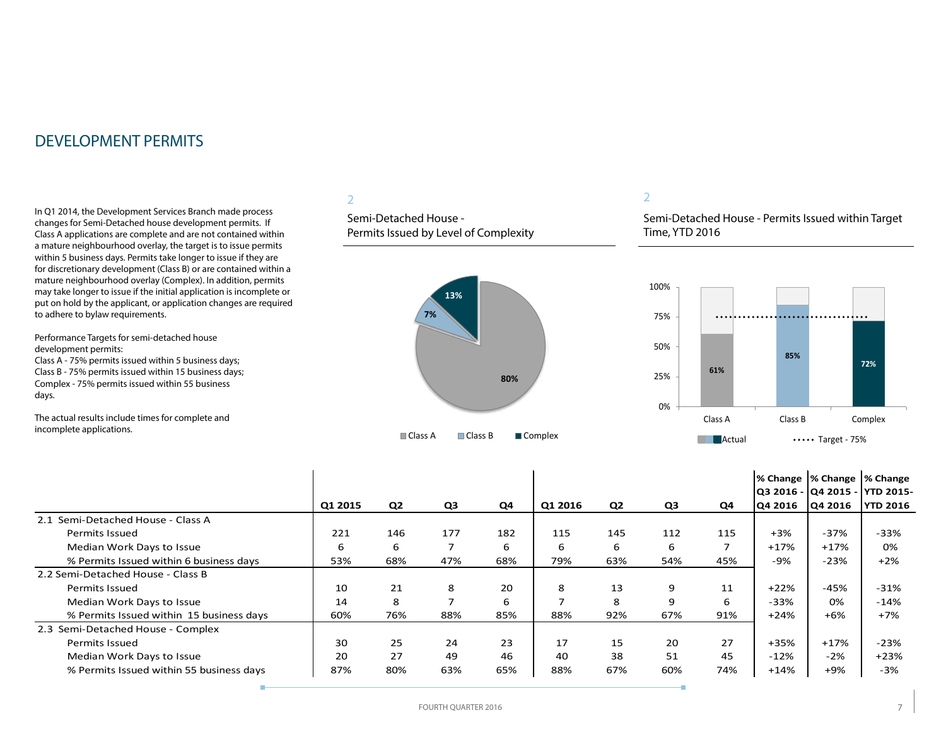In Q1 2014, the Development Services Branch made process changes for Semi-Detached house development permits. If Class A applications are complete and are not contained within a mature neighbourhood overlay, the target is to issue permits within 5 business days. Permits take longer to issue if they are for discretionary development (Class B) or are contained within a mature neighbourhood overlay (Complex). In addition, permits may take longer to issue if the initial application is incomplete or put on hold by the applicant, or application changes are required to adhere to bylaw requirements.

Performance Targets for semi-detached house development permits: Class A - 75% permits issued within 5 business days; Class B - 75% permits issued within 15 business days; Complex - 75% permits issued within 55 business

days.

The actual results include times for complete and incomplete applications.

#### 2

Semi-Detached House - Permits Issued by Level of Complexity



#### 2

Semi-Detached House - Permits Issued within Target Time, YTD 2016



|                                          |         |     |                |     |         |                |     |                |         | % Change  % Change  % Change |                               |
|------------------------------------------|---------|-----|----------------|-----|---------|----------------|-----|----------------|---------|------------------------------|-------------------------------|
|                                          |         |     |                |     |         |                |     |                |         |                              | Q3 2016 - Q4 2015 - YTD 2015- |
|                                          | Q1 2015 | Q2  | Q <sub>3</sub> | Q4  | Q1 2016 | Q <sub>2</sub> | Q3  | Q4             | Q4 2016 | Q4 2016                      | <b>YTD 2016</b>               |
| 2.1 Semi-Detached House - Class A        |         |     |                |     |         |                |     |                |         |                              |                               |
| Permits Issued                           | 221     | 146 | 177            | 182 | 115     | 145            | 112 | 115            | $+3%$   | $-37%$                       | $-33%$                        |
| Median Work Days to Issue                | 6       | 6   |                | 6   | 6       | 6              | 6   | $\overline{ }$ | $+17%$  | $+17%$                       | 0%                            |
| % Permits Issued within 6 business days  | 53%     | 68% | 47%            | 68% | 79%     | 63%            | 54% | 45%            | $-9%$   | $-23%$                       | $+2%$                         |
| 2.2 Semi-Detached House - Class B        |         |     |                |     |         |                |     |                |         |                              |                               |
| Permits Issued                           | 10      | 21  | 8              | 20  | 8       | 13             | 9   | 11             | $+22%$  | $-45%$                       | $-31%$                        |
| Median Work Days to Issue                | 14      | 8   |                | 6   | ᄀ       | 8              | 9   | 6              | $-33%$  | 0%                           | $-14%$                        |
| % Permits Issued within 15 business days | 60%     | 76% | 88%            | 85% | 88%     | 92%            | 67% | 91%            | $+24%$  | $+6%$                        | $+7%$                         |
| 2.3 Semi-Detached House - Complex        |         |     |                |     |         |                |     |                |         |                              |                               |
| <b>Permits Issued</b>                    | 30      | 25  | 24             | 23  | 17      | 15             | 20  | 27             | $+35%$  | $+17%$                       | $-23%$                        |
| Median Work Days to Issue                | 20      | 27  | 49             | 46  | 40      | 38             | 51  | 45             | $-12%$  | $-2%$                        | $+23%$                        |
| % Permits Issued within 55 business days | 87%     | 80% | 63%            | 65% | 88%     | 67%            | 60% | 74%            | $+14%$  | $+9%$                        | $-3%$                         |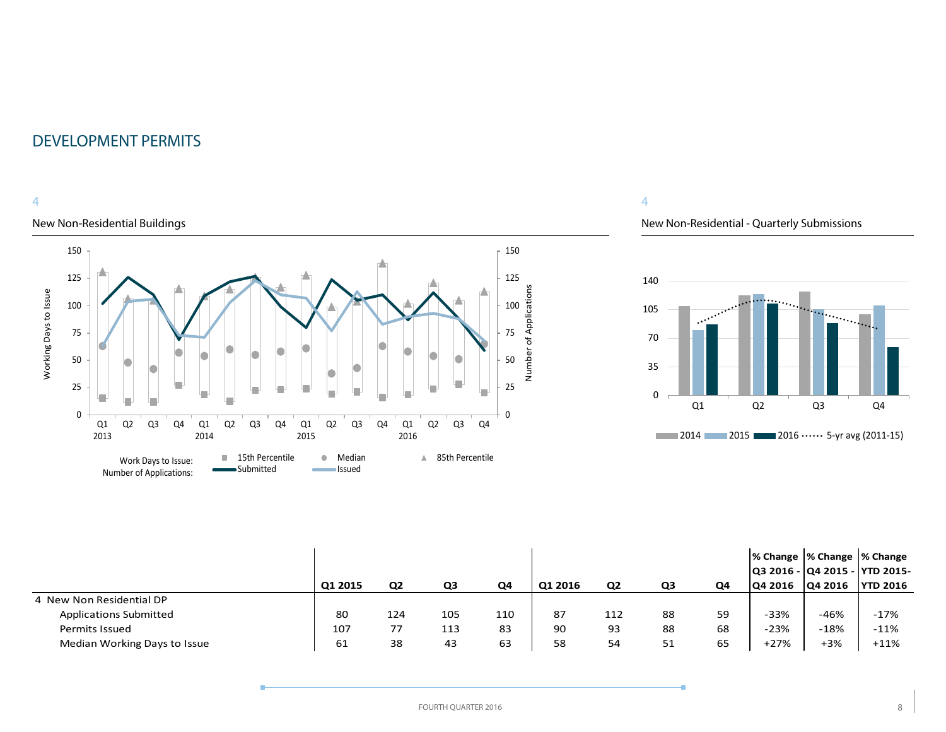#### 4

#### New Non-Residential Buildings



#### 4

#### New Non-Residential - Quarterly Submissions



|                               |         |                |     |     |         |                |    |    | % Change  % Change  % Change    |         |                 |
|-------------------------------|---------|----------------|-----|-----|---------|----------------|----|----|---------------------------------|---------|-----------------|
|                               |         |                |     |     |         |                |    |    | Q3 2016 -  Q4 2015 -  YTD 2015- |         |                 |
|                               | Q1 2015 | Q <sub>2</sub> | Q3  | Q4  | Q1 2016 | Q <sub>2</sub> | Q3 | Q4 | <b>Q4 2016</b>                  | Q4 2016 | <b>YTD 2016</b> |
| 4 New Non Residential DP      |         |                |     |     |         |                |    |    |                                 |         |                 |
| <b>Applications Submitted</b> | 80      | 124            | 105 | 110 | 87      | 112            | 88 | 59 | $-33%$                          | $-46%$  | $-17%$          |
| <b>Permits Issued</b>         | 107     | 77             | 113 | 83  | 90      | 93             | 88 | 68 | $-23%$                          | $-18%$  | $-11%$          |
| Median Working Days to Issue  | 61      | 38             | 43  | 63  | 58      | 54             | 51 | 65 | $+27%$                          | $+3%$   | $+11%$          |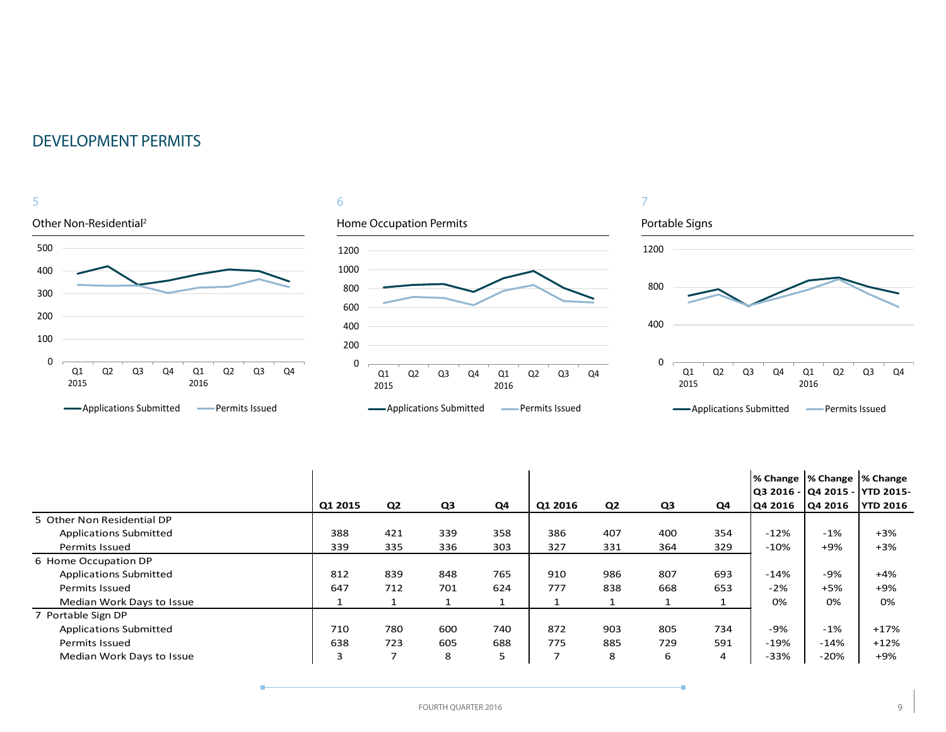

|                               |         |                          |     |     |                          |                |     |     | % Change  % Change  % Change |                | Q3 2016 -  Q4 2015 -  YTD 2015- |
|-------------------------------|---------|--------------------------|-----|-----|--------------------------|----------------|-----|-----|------------------------------|----------------|---------------------------------|
|                               | Q1 2015 | Q <sub>2</sub>           | Q3  | Q4  | Q1 2016                  | Q <sub>2</sub> | Q3  | Q4  | Q4 2016                      | <b>Q4 2016</b> | <b>YTD 2016</b>                 |
| 5 Other Non Residential DP    |         |                          |     |     |                          |                |     |     |                              |                |                                 |
| <b>Applications Submitted</b> | 388     | 421                      | 339 | 358 | 386                      | 407            | 400 | 354 | $-12%$                       | $-1%$          | $+3%$                           |
| Permits Issued                | 339     | 335                      | 336 | 303 | 327                      | 331            | 364 | 329 | $-10%$                       | $+9%$          | $+3%$                           |
| 6 Home Occupation DP          |         |                          |     |     |                          |                |     |     |                              |                |                                 |
| <b>Applications Submitted</b> | 812     | 839                      | 848 | 765 | 910                      | 986            | 807 | 693 | $-14%$                       | -9%            | $+4%$                           |
| Permits Issued                | 647     | 712                      | 701 | 624 | 777                      | 838            | 668 | 653 | $-2%$                        | $+5%$          | $+9%$                           |
| Median Work Days to Issue     |         |                          |     |     |                          |                |     |     | 0%                           | 0%             | 0%                              |
| 7 Portable Sign DP            |         |                          |     |     |                          |                |     |     |                              |                |                                 |
| <b>Applications Submitted</b> | 710     | 780                      | 600 | 740 | 872                      | 903            | 805 | 734 | -9%                          | $-1%$          | $+17%$                          |
| <b>Permits Issued</b>         | 638     | 723                      | 605 | 688 | 775                      | 885            | 729 | 591 | $-19%$                       | $-14%$         | $+12%$                          |
| Median Work Days to Issue     | 3       | $\overline{\phantom{a}}$ | 8   | 5   | $\overline{\phantom{a}}$ | 8              | 6   | 4   | -33%                         | $-20%$         | $+9%$                           |

÷.

÷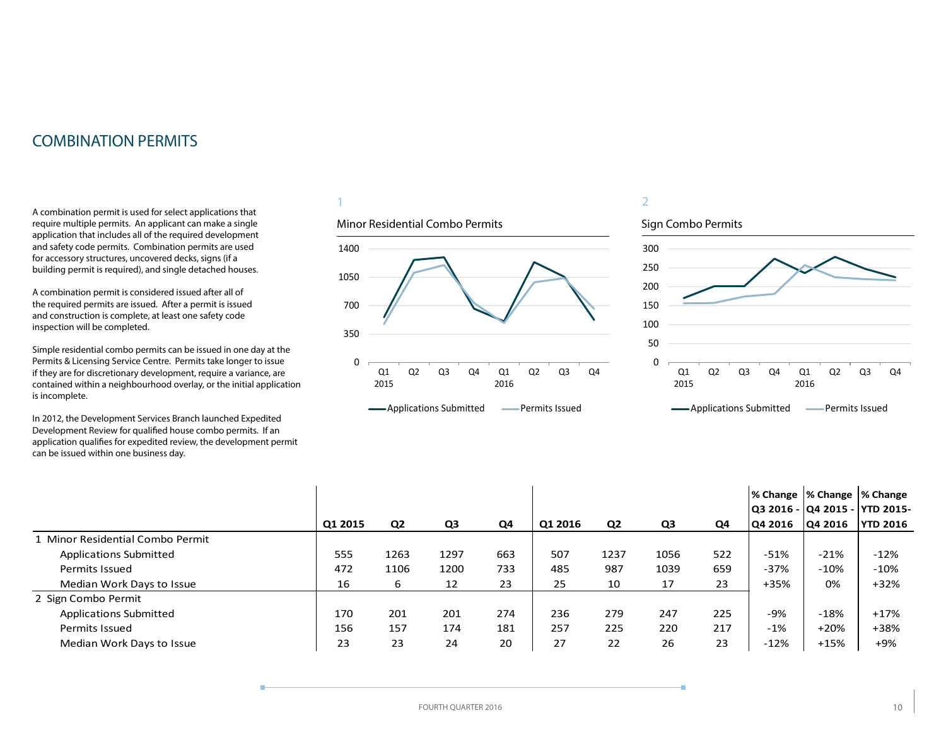### <span id="page-9-0"></span>COMBINATION PERMITS

A combination permit is used for select applications that require multiple permits. An applicant can make a single application that includes all of the required development and safety code permits. Combination permits are used for accessory structures, uncovered decks, signs (if a building permit is required), and single detached houses.

A combination permit is considered issued after all of the required permits are issued. After a permit is issued and construction is complete, at least one safety code inspection will be completed.

Simple residential combo permits can be issued in one day at the Permits & Licensing Service Centre. Permits take longer to issue if they are for discretionary development, require a variance, are contained within a neighbourhood overlay, or the initial application is incomplete.

In 2012, the Development Services Branch launched Expedited Development Review for qualified house combo permits. If an application qualifies for expedited review, the development permit can be issued within one business day.

#### 1



### 2



|                                  |         |                |      |     |         |                |      |     | % Change  % Change  % Change    |                |                 |
|----------------------------------|---------|----------------|------|-----|---------|----------------|------|-----|---------------------------------|----------------|-----------------|
|                                  |         |                |      |     |         |                |      |     | Q3 2016 -  Q4 2015 -  YTD 2015- |                |                 |
|                                  | Q1 2015 | Q <sub>2</sub> | Q3   | Q4  | Q1 2016 | Q <sub>2</sub> | Q3   | Q4  | Q4 2016                         | <b>Q4 2016</b> | <b>YTD 2016</b> |
| 1 Minor Residential Combo Permit |         |                |      |     |         |                |      |     |                                 |                |                 |
| <b>Applications Submitted</b>    | 555     | 1263           | 1297 | 663 | 507     | 1237           | 1056 | 522 | $-51%$                          | $-21%$         | $-12%$          |
| Permits Issued                   | 472     | 1106           | 1200 | 733 | 485     | 987            | 1039 | 659 | $-37%$                          | $-10%$         | $-10%$          |
| Median Work Days to Issue        | 16      | 6              | 12   | 23  | 25      | 10             | 17   | 23  | $+35%$                          | 0%             | $+32%$          |
| 2 Sign Combo Permit              |         |                |      |     |         |                |      |     |                                 |                |                 |
| <b>Applications Submitted</b>    | 170     | 201            | 201  | 274 | 236     | 279            | 247  | 225 | -9%                             | $-18%$         | $+17%$          |
| Permits Issued                   | 156     | 157            | 174  | 181 | 257     | 225            | 220  | 217 | $-1%$                           | $+20%$         | +38%            |
| Median Work Days to Issue        | 23      | 23             | 24   | 20  | 27      | 22             | 26   | 23  | $-12%$                          | $+15%$         | $+9%$           |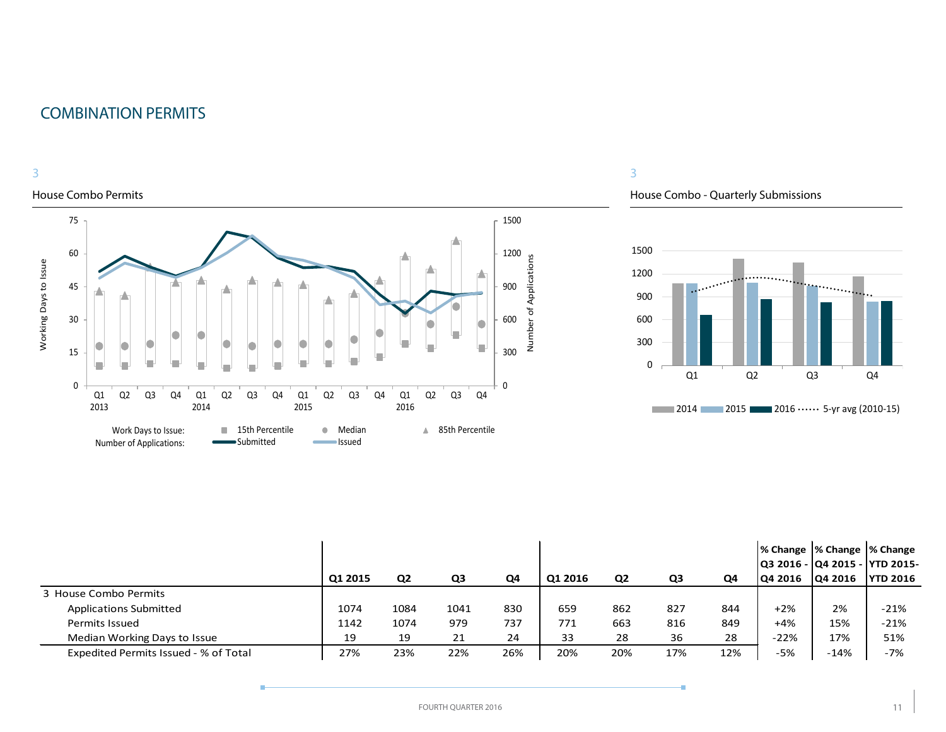### COMBINATION PERMITS



#### House Combo Permits



#### 3

House Combo - Quarterly Submissions



|                                       | Q1 2015 | Q <sub>2</sub> | Q3   | Q4  | Q1 2016 | Q <sub>2</sub> | Q3  | Q4  | % Change  % Change  % Change<br> Q3 2016 -  Q4 2015 -  YTD 2015-<br><b>Q4 2016</b> | <b>Q4 2016</b> | <b>YTD 2016</b> |
|---------------------------------------|---------|----------------|------|-----|---------|----------------|-----|-----|------------------------------------------------------------------------------------|----------------|-----------------|
| 3 House Combo Permits                 |         |                |      |     |         |                |     |     |                                                                                    |                |                 |
| <b>Applications Submitted</b>         | 1074    | 1084           | 1041 | 830 | 659     | 862            | 827 | 844 | $+2%$                                                                              | 2%             | $-21%$          |
| Permits Issued                        | 1142    | 1074           | 979  | 737 | 771     | 663            | 816 | 849 | $+4%$                                                                              | 15%            | $-21%$          |
| Median Working Days to Issue          | 19      | 19             | 21   | 24  | 33      | 28             | 36  | 28  | $-22%$                                                                             | 17%            | 51%             |
| Expedited Permits Issued - % of Total | 27%     | 23%            | 22%  | 26% | 20%     | 20%            | 17% | 12% | -5%                                                                                | $-14%$         | $-7%$           |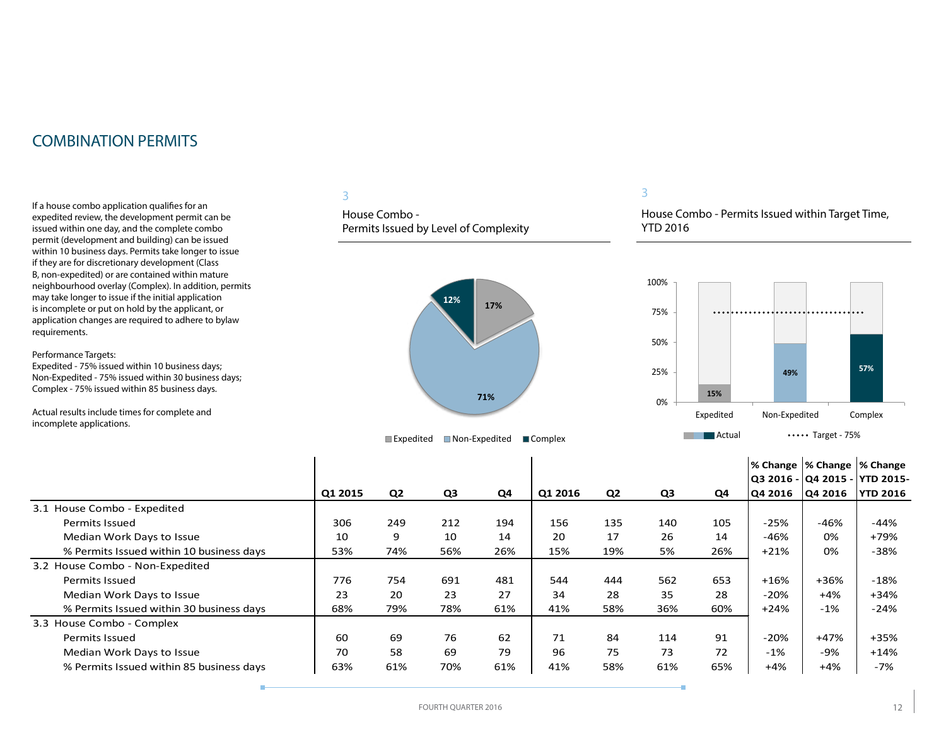### COMBINATION PERMITS

If a house combo application qualifies for an expedited review, the development permit can be issued within one day, and the complete combo permit (development and building) can be issued within 10 business days. Permits take longer to issue if they are for discretionary development (Class B, non-expedited) or are contained within mature neighbourhood overlay (Complex). In addition, permits may take longer to issue if the initial application is incomplete or put on hold by the applicant, or application changes are required to adhere to bylaw requirements.

Performance Targets:

Expedited - 75% issued within 10 business days; Non-Expedited - 75% issued within 30 business days; Complex - 75% issued within 85 business days.

Actual results include times for complete and incomplete applications.

#### 3

House Combo - Permits Issued by Level of Complexity



#### 3

House Combo - Permits Issued within Target Time, YTD 2016



|                                          |         |                |                |     |         |                |                |     | % Change  % Change  % Change |         |                  |
|------------------------------------------|---------|----------------|----------------|-----|---------|----------------|----------------|-----|------------------------------|---------|------------------|
|                                          |         |                |                |     |         |                |                |     | Q3 2016 -  Q4 2015 -         |         | <b>YTD 2015-</b> |
|                                          | Q1 2015 | Q <sub>2</sub> | Q <sub>3</sub> | Q4  | Q1 2016 | Q <sub>2</sub> | Q <sub>3</sub> | Q4  | Q4 2016                      | Q4 2016 | <b>YTD 2016</b>  |
| 3.1 House Combo - Expedited              |         |                |                |     |         |                |                |     |                              |         |                  |
| Permits Issued                           | 306     | 249            | 212            | 194 | 156     | 135            | 140            | 105 | $-25%$                       | $-46%$  | -44%             |
| Median Work Days to Issue                | 10      | 9              | 10             | 14  | 20      | 17             | 26             | 14  | $-46%$                       | 0%      | +79%             |
| % Permits Issued within 10 business days | 53%     | 74%            | 56%            | 26% | 15%     | 19%            | 5%             | 26% | $+21%$                       | 0%      | $-38%$           |
| 3.2 House Combo - Non-Expedited          |         |                |                |     |         |                |                |     |                              |         |                  |
| <b>Permits Issued</b>                    | 776     | 754            | 691            | 481 | 544     | 444            | 562            | 653 | $+16%$                       | $+36%$  | $-18%$           |
| Median Work Days to Issue                | 23      | 20             | 23             | 27  | 34      | 28             | 35             | 28  | $-20%$                       | $+4%$   | $+34%$           |
| % Permits Issued within 30 business days | 68%     | 79%            | 78%            | 61% | 41%     | 58%            | 36%            | 60% | $+24%$                       | $-1%$   | $-24%$           |
| 3.3 House Combo - Complex                |         |                |                |     |         |                |                |     |                              |         |                  |
| <b>Permits Issued</b>                    | 60      | 69             | 76             | 62  | 71      | 84             | 114            | 91  | $-20%$                       | $+47%$  | +35%             |
| Median Work Days to Issue                | 70      | 58             | 69             | 79  | 96      | 75             | 73             | 72  | $-1\%$                       | $-9%$   | $+14%$           |
| % Permits Issued within 85 business days | 63%     | 61%            | 70%            | 61% | 41%     | 58%            | 61%            | 65% | $+4%$                        | $+4%$   | -7%              |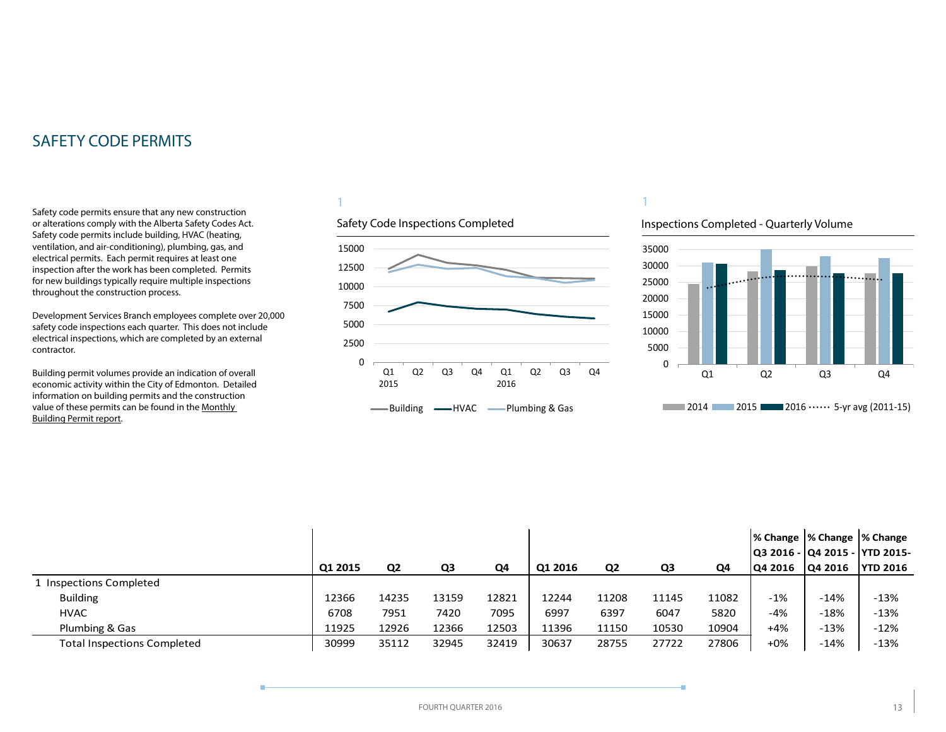<span id="page-12-0"></span>Safety code permits ensure that any new construction or alterations comply with the Alberta Safety Codes Act. Safety code permits include building, HVAC (heating, ventilation, and air-conditioning), plumbing, gas, and electrical permits. Each permit requires at least one inspection after the work has been completed. Permits for new buildings typically require multiple inspections throughout the construction process.

Development Services Branch employees complete over 20,000 safety code inspections each quarter. This does not include electrical inspections, which are completed by an external contractor.

Building permit volumes provide an indication of overall economic activity within the City of Edmonton. Detailed information on building permits and the construction value of these permits can be found in the [Monthly](http://www.edmonton.ca/buildingpermitreport)  [Building Permit report](http://www.edmonton.ca/buildingpermitreport).

#### 1





1

#### Inspections Completed - Quarterly Volume



|                                    |         |                |       |       |         |       |       |       | % Change  % Change  % Change    |         |                 |
|------------------------------------|---------|----------------|-------|-------|---------|-------|-------|-------|---------------------------------|---------|-----------------|
|                                    |         |                |       |       |         |       |       |       | Q3 2016 -  Q4 2015 -  YTD 2015- |         |                 |
|                                    | Q1 2015 | Q <sub>2</sub> | Q3    | Q4    | Q1 2016 | Q2    | Q3    | Q4    | <b>Q4 2016</b>                  | Q4 2016 | <b>YTD 2016</b> |
| 1 Inspections Completed            |         |                |       |       |         |       |       |       |                                 |         |                 |
| <b>Building</b>                    | 12366   | 14235          | 13159 | 12821 | 12244   | 11208 | 11145 | 11082 | $-1%$                           | $-14%$  | $-13%$          |
| <b>HVAC</b>                        | 6708    | 7951           | 7420  | 7095  | 6997    | 6397  | 6047  | 5820  | -4%                             | $-18%$  | $-13%$          |
| Plumbing & Gas                     | 11925   | 12926          | 12366 | 12503 | 11396   | 11150 | 10530 | 10904 | +4%                             | $-13%$  | $-12%$          |
| <b>Total Inspections Completed</b> | 30999   | 35112          | 32945 | 32419 | 30637   | 28755 | 27722 | 27806 | +0%                             | $-14%$  | $-13%$          |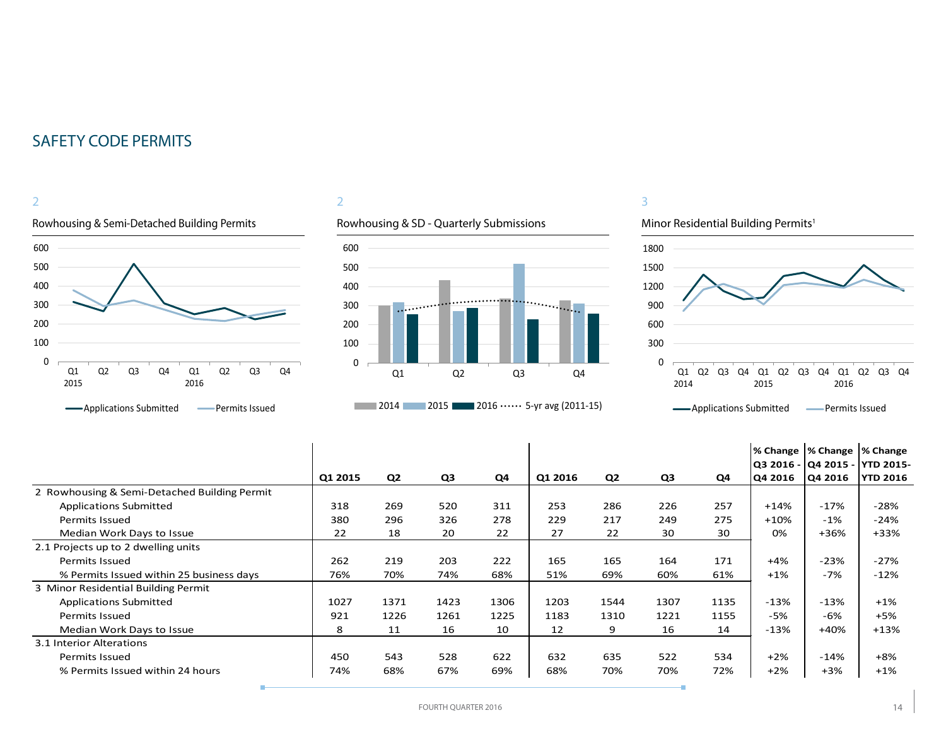

### 2





#### 3





|                                              |         |                |      |      |         |                |      |      |         | % Change  % Change  % Change |                                 |
|----------------------------------------------|---------|----------------|------|------|---------|----------------|------|------|---------|------------------------------|---------------------------------|
|                                              |         |                |      |      |         |                |      |      |         |                              | Q3 2016 -  Q4 2015 -  YTD 2015- |
|                                              | Q1 2015 | Q <sub>2</sub> | Q3   | Q4   | Q1 2016 | Q <sub>2</sub> | Q3   | Q4   | Q4 2016 | Q4 2016                      | <b>YTD 2016</b>                 |
| 2 Rowhousing & Semi-Detached Building Permit |         |                |      |      |         |                |      |      |         |                              |                                 |
| <b>Applications Submitted</b>                | 318     | 269            | 520  | 311  | 253     | 286            | 226  | 257  | $+14%$  | $-17%$                       | $-28%$                          |
| <b>Permits Issued</b>                        | 380     | 296            | 326  | 278  | 229     | 217            | 249  | 275  | $+10%$  | $-1%$                        | $-24%$                          |
| Median Work Days to Issue                    | 22      | 18             | 20   | 22   | 27      | 22             | 30   | 30   | 0%      | $+36%$                       | $+33%$                          |
| 2.1 Projects up to 2 dwelling units          |         |                |      |      |         |                |      |      |         |                              |                                 |
| <b>Permits Issued</b>                        | 262     | 219            | 203  | 222  | 165     | 165            | 164  | 171  | $+4%$   | $-23%$                       | $-27%$                          |
| % Permits Issued within 25 business days     | 76%     | 70%            | 74%  | 68%  | 51%     | 69%            | 60%  | 61%  | $+1\%$  | $-7%$                        | $-12%$                          |
| 3 Minor Residential Building Permit          |         |                |      |      |         |                |      |      |         |                              |                                 |
| <b>Applications Submitted</b>                | 1027    | 1371           | 1423 | 1306 | 1203    | 1544           | 1307 | 1135 | $-13%$  | $-13%$                       | $+1%$                           |
| Permits Issued                               | 921     | 1226           | 1261 | 1225 | 1183    | 1310           | 1221 | 1155 | $-5%$   | -6%                          | $+5%$                           |
| Median Work Days to Issue                    | 8       | 11             | 16   | 10   | 12      | 9              | 16   | 14   | $-13%$  | $+40%$                       | $+13%$                          |
| 3.1 Interior Alterations                     |         |                |      |      |         |                |      |      |         |                              |                                 |
| Permits Issued                               | 450     | 543            | 528  | 622  | 632     | 635            | 522  | 534  | $+2%$   | $-14%$                       | $+8%$                           |
| % Permits Issued within 24 hours             | 74%     | 68%            | 67%  | 69%  | 68%     | 70%            | 70%  | 72%  | $+2%$   | $+3%$                        | $+1%$                           |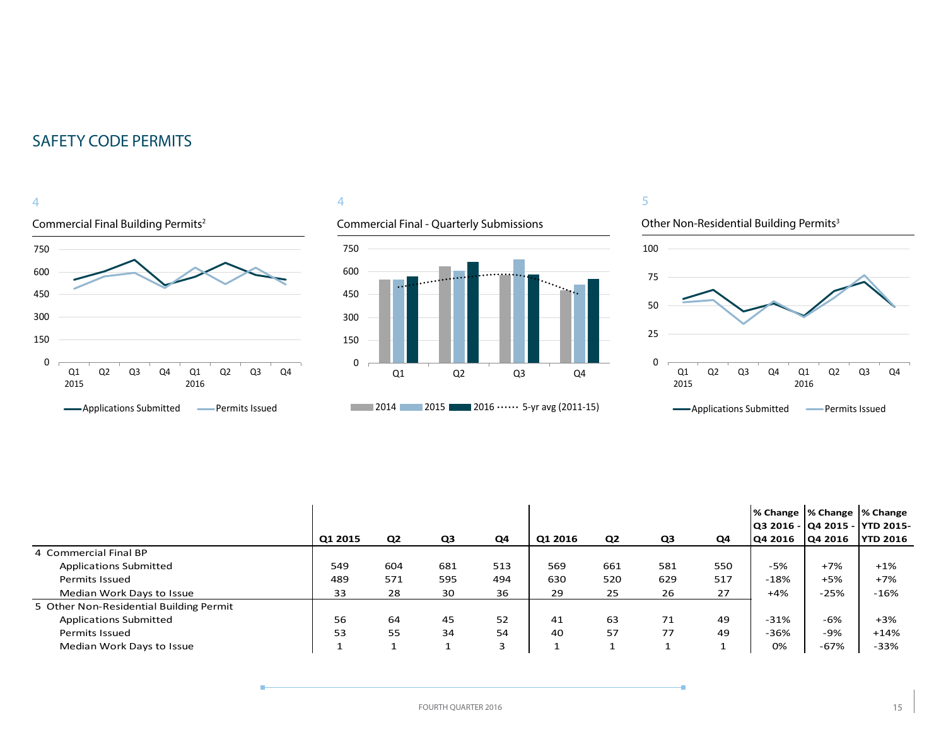



Commercial Final - Quarterly Submissions







|                                         |         |                |                |     |         |                |     |     | % Change  % Change  % Change |         | Q3 2016 -  Q4 2015 -  YTD 2015- |
|-----------------------------------------|---------|----------------|----------------|-----|---------|----------------|-----|-----|------------------------------|---------|---------------------------------|
|                                         | Q1 2015 | Q <sub>2</sub> | Q <sub>3</sub> | Q4  | Q1 2016 | Q <sub>2</sub> | Q3  | Q4  | Q4 2016                      | Q4 2016 | <b>YTD 2016</b>                 |
| 4 Commercial Final BP                   |         |                |                |     |         |                |     |     |                              |         |                                 |
| <b>Applications Submitted</b>           | 549     | 604            | 681            | 513 | 569     | 661            | 581 | 550 | -5%                          | $+7%$   | $+1\%$                          |
| Permits Issued                          | 489     | 571            | 595            | 494 | 630     | 520            | 629 | 517 | $-18%$                       | $+5%$   | $+7%$                           |
| Median Work Days to Issue               | 33      | 28             | 30             | 36  | 29      | 25             | 26  | 27  | $+4%$                        | $-25%$  | $-16%$                          |
| 5 Other Non-Residential Building Permit |         |                |                |     |         |                |     |     |                              |         |                                 |
| <b>Applications Submitted</b>           | 56      | 64             | 45             | 52  | 41      | 63             | 71  | 49  | $-31%$                       | -6%     | $+3%$                           |
| <b>Permits Issued</b>                   | 53      | 55             | 34             | 54  | 40      | 57             | 77  | 49  | $-36%$                       | -9%     | $+14%$                          |
| Median Work Days to Issue               |         |                |                | 3   |         |                |     |     | 0%                           | $-67%$  | $-33%$                          |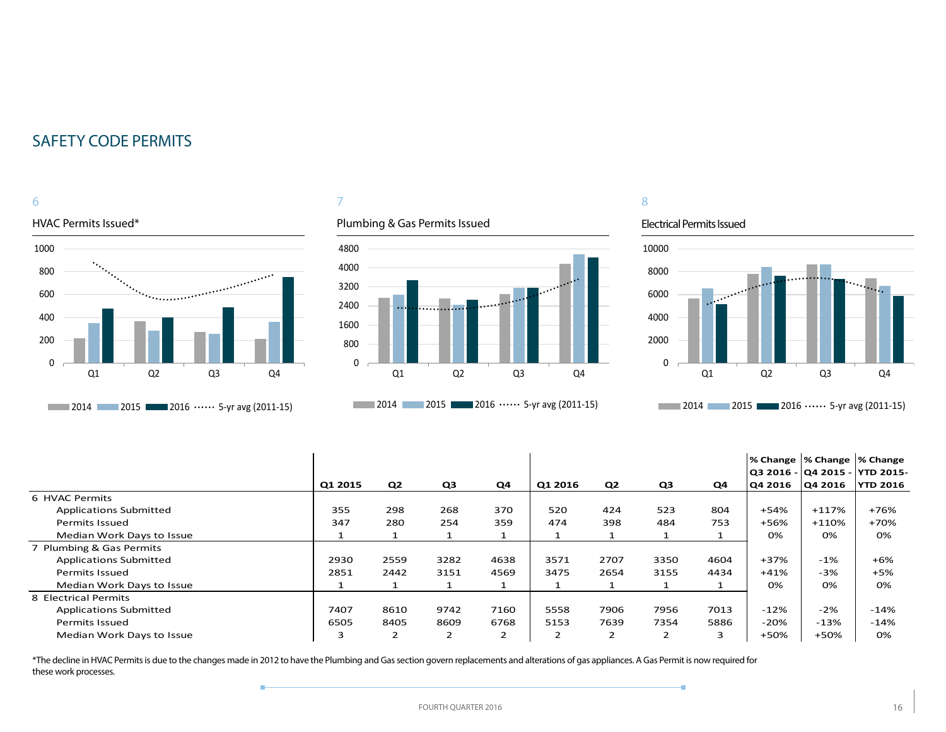### 6



#### 7

#### Plumbing & Gas Permits Issued



### 8

#### Electrical Permits Issued

÷



|                               |         |                |                |          |         |                |                |      | % Change  % Change  % Change |         |                                 |
|-------------------------------|---------|----------------|----------------|----------|---------|----------------|----------------|------|------------------------------|---------|---------------------------------|
|                               |         |                |                |          |         |                |                |      |                              |         | Q3 2016 -  Q4 2015 -  YTD 2015- |
|                               | Q1 2015 | Q2             | Q3             | Q4       | Q1 2016 | Q2             | Q3             | Q4   | Q4 2016                      | Q4 2016 | <b>YTD 2016</b>                 |
| 6 HVAC Permits                |         |                |                |          |         |                |                |      |                              |         |                                 |
| <b>Applications Submitted</b> | 355     | 298            | 268            | 370      | 520     | 424            | 523            | 804  | +54%                         | $+117%$ | +76%                            |
| <b>Permits Issued</b>         | 347     | 280            | 254            | 359      | 474     | 398            | 484            | 753  | +56%                         | $+110%$ | +70%                            |
| Median Work Days to Issue     |         |                |                | <b>T</b> |         |                |                |      | 0%                           | 0%      | 0%                              |
| 7 Plumbing & Gas Permits      |         |                |                |          |         |                |                |      |                              |         |                                 |
| <b>Applications Submitted</b> | 2930    | 2559           | 3282           | 4638     | 3571    | 2707           | 3350           | 4604 | $+37%$                       | $-1%$   | $+6%$                           |
| Permits Issued                | 2851    | 2442           | 3151           | 4569     | 3475    | 2654           | 3155           | 4434 | $+41%$                       | $-3%$   | $+5%$                           |
| Median Work Days to Issue     |         |                |                | 1        |         |                |                |      | $0\%$                        | 0%      | 0%                              |
| 8 Electrical Permits          |         |                |                |          |         |                |                |      |                              |         |                                 |
| <b>Applications Submitted</b> | 7407    | 8610           | 9742           | 7160     | 5558    | 7906           | 7956           | 7013 | $-12%$                       | $-2%$   | -14%                            |
| Permits Issued                | 6505    | 8405           | 8609           | 6768     | 5153    | 7639           | 7354           | 5886 | $-20%$                       | $-13%$  | $-14%$                          |
| Median Work Days to Issue     | 3       | $\overline{2}$ | $\overline{2}$ | 2        | ∍<br>∠  | $\overline{2}$ | $\overline{2}$ | 3    | +50%                         | +50%    | 0%                              |

\*The decline in HVAC Permits is due to the changes made in 2012 to have the Plumbing and Gas section govern replacements and alterations of gas appliances. A Gas Permit is now required for these work processes.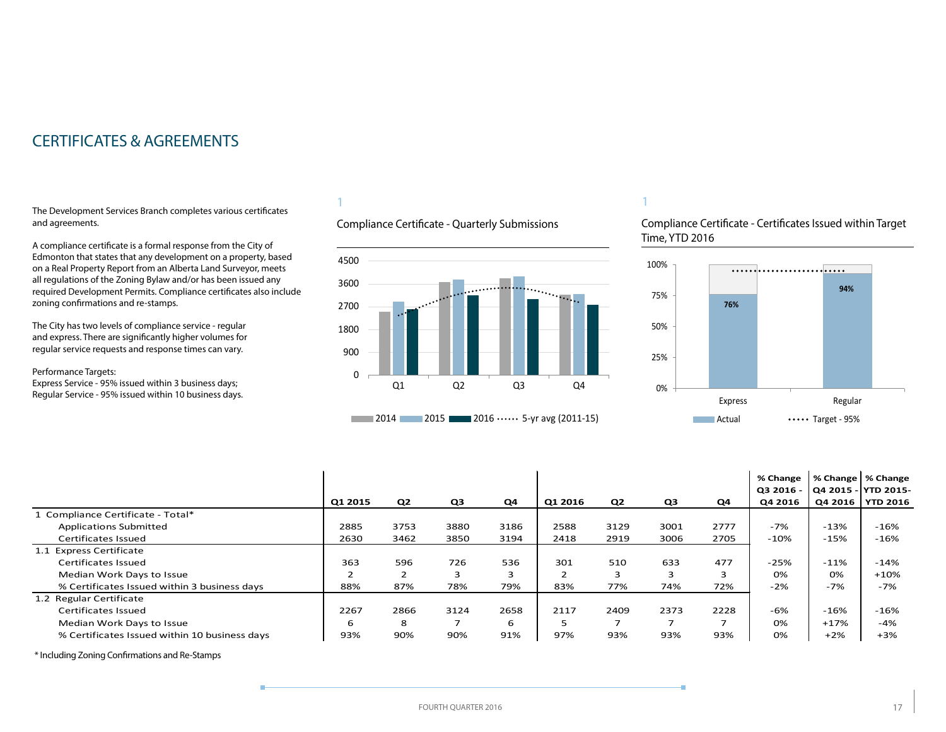### <span id="page-16-0"></span>CERTIFICATES & AGREEMENTS

The Development Services Branch completes various certificates and agreements.

A compliance certificate is a formal response from the City of Edmonton that states that any development on a property, based on a Real Property Report from an Alberta Land Surveyor, meets all regulations of the Zoning Bylaw and/or has been issued any required Development Permits. Compliance certificates also include zoning confirmations and re-stamps.

The City has two levels of compliance service - regular and express. There are significantly higher volumes for regular service requests and response times can vary.

Performance Targets:

Express Service - 95% issued within 3 business days; Regular Service - 95% issued within 10 business days.

### 1

Compliance Certificate - Quarterly Submissions



#### 1

Compliance Certificate - Certificates Issued within Target Time, YTD 2016



|                                               |         |                |      |      |         |                          |      |                          | % Change<br>Q3 2016 - | % Change   % Change<br>  Q4 2015 - YTD 2015- |                 |
|-----------------------------------------------|---------|----------------|------|------|---------|--------------------------|------|--------------------------|-----------------------|----------------------------------------------|-----------------|
|                                               | Q1 2015 | Q <sub>2</sub> | Q3   | Q4   | Q1 2016 | Q <sub>2</sub>           | Q3   | Q4                       | Q4 2016               | Q4 2016                                      | <b>YTD 2016</b> |
| 1 Compliance Certificate - Total*             |         |                |      |      |         |                          |      |                          |                       |                                              |                 |
| <b>Applications Submitted</b>                 | 2885    | 3753           | 3880 | 3186 | 2588    | 3129                     | 3001 | 2777                     | -7%                   | $-13%$                                       | $-16%$          |
| Certificates Issued                           | 2630    | 3462           | 3850 | 3194 | 2418    | 2919                     | 3006 | 2705                     | $-10%$                | $-15%$                                       | $-16%$          |
| 1.1 Express Certificate                       |         |                |      |      |         |                          |      |                          |                       |                                              |                 |
| Certificates Issued                           | 363     | 596            | 726  | 536  | 301     | 510                      | 633  | 477                      | $-25%$                | $-11%$                                       | $-14%$          |
| Median Work Days to Issue                     |         | ∠              | 3    | 3    |         | 3                        | 3    | 3                        | 0%                    | 0%                                           | $+10%$          |
| % Certificates Issued within 3 business days  | 88%     | 87%            | 78%  | 79%  | 83%     | 77%                      | 74%  | 72%                      | $-2%$                 | $-7%$                                        | $-7%$           |
| 1.2 Regular Certificate                       |         |                |      |      |         |                          |      |                          |                       |                                              |                 |
| Certificates Issued                           | 2267    | 2866           | 3124 | 2658 | 2117    | 2409                     | 2373 | 2228                     | $-6%$                 | $-16%$                                       | $-16%$          |
| Median Work Days to Issue                     | 6       | 8              |      | 6    |         | $\overline{\phantom{0}}$ | ⇁    | $\overline{\phantom{a}}$ | 0%                    | $+17%$                                       | $-4%$           |
| % Certificates Issued within 10 business days | 93%     | 90%            | 90%  | 91%  | 97%     | 93%                      | 93%  | 93%                      | 0%                    | $+2%$                                        | $+3%$           |

\* Including Zoning Confirmations and Re-Stamps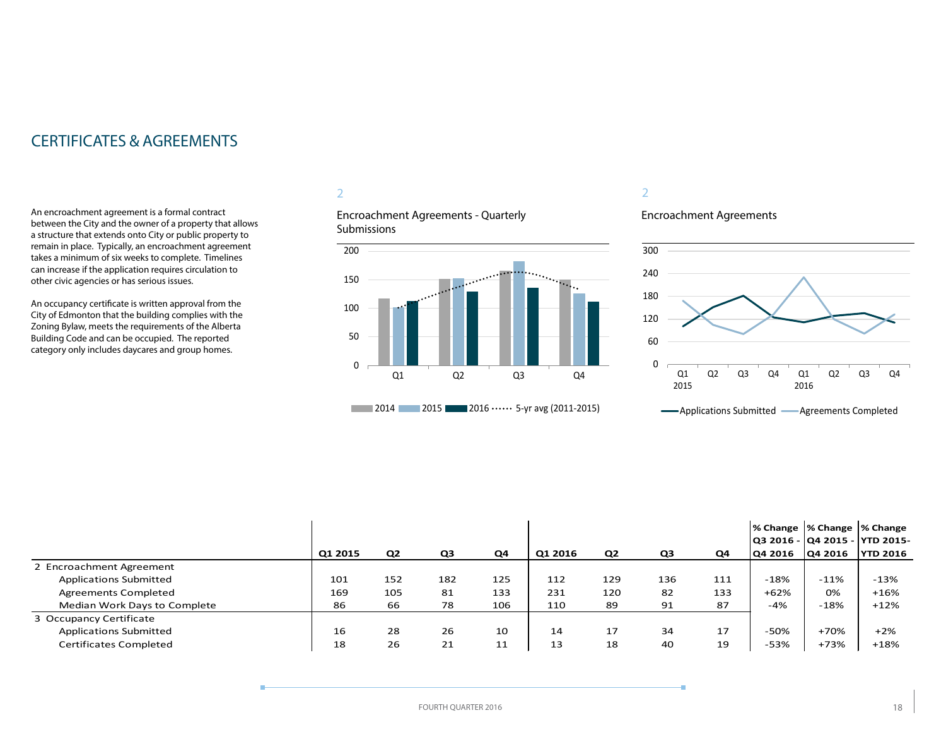### CERTIFICATES & AGREEMENTS

An encroachment agreement is a formal contract between the City and the owner of a property that allows a structure that extends onto City or public property to remain in place. Typically, an encroachment agreement takes a minimum of six weeks to complete. Timelines can increase if the application requires circulation to other civic agencies or has serious issues.

An occupancy certificate is written approval from the City of Edmonton that the building complies with the Zoning Bylaw, meets the requirements of the Alberta Building Code and can be occupied. The reported category only includes daycares and group homes.

#### 2

Encroachment Agreements - Quarterly Submissions



#### 2

#### Encroachment Agreements



|                               |         |                |     |     |         |                |     |                |         | % Change  % Change  % Change<br> Q3 2016 -  Q4 2015 -  YTD 2015- |                 |
|-------------------------------|---------|----------------|-----|-----|---------|----------------|-----|----------------|---------|------------------------------------------------------------------|-----------------|
|                               | Q1 2015 | Q <sub>2</sub> | Q3  | Q4  | Q1 2016 | Q <sub>2</sub> | Q3  | Q <sub>4</sub> | O4 2016 | <b>Q4 2016</b>                                                   | <b>YTD 2016</b> |
| 2 Encroachment Agreement      |         |                |     |     |         |                |     |                |         |                                                                  |                 |
| <b>Applications Submitted</b> | 101     | 152            | 182 | 125 | 112     | 129            | 136 | 111            | $-18%$  | $-11\%$                                                          | $-13%$          |
| Agreements Completed          | 169     | 105            | 81  | 133 | 231     | 120            | 82  | 133            | $+62%$  | 0%                                                               | $+16%$          |
| Median Work Days to Complete  | 86      | 66             | 78  | 106 | 110     | 89             | 91  | 87             | $-4%$   | $-18%$                                                           | $+12%$          |
| 3 Occupancy Certificate       |         |                |     |     |         |                |     |                |         |                                                                  |                 |
| <b>Applications Submitted</b> | 16      | 28             | 26  | 10  | 14      | 17             | 34  | 17             | $-50%$  | $+70%$                                                           | $+2%$           |
| <b>Certificates Completed</b> | 18      | 26             | 21  | 11  | 13      | 18             | 40  | 19             | $-53%$  | $+73%$                                                           | $+18%$          |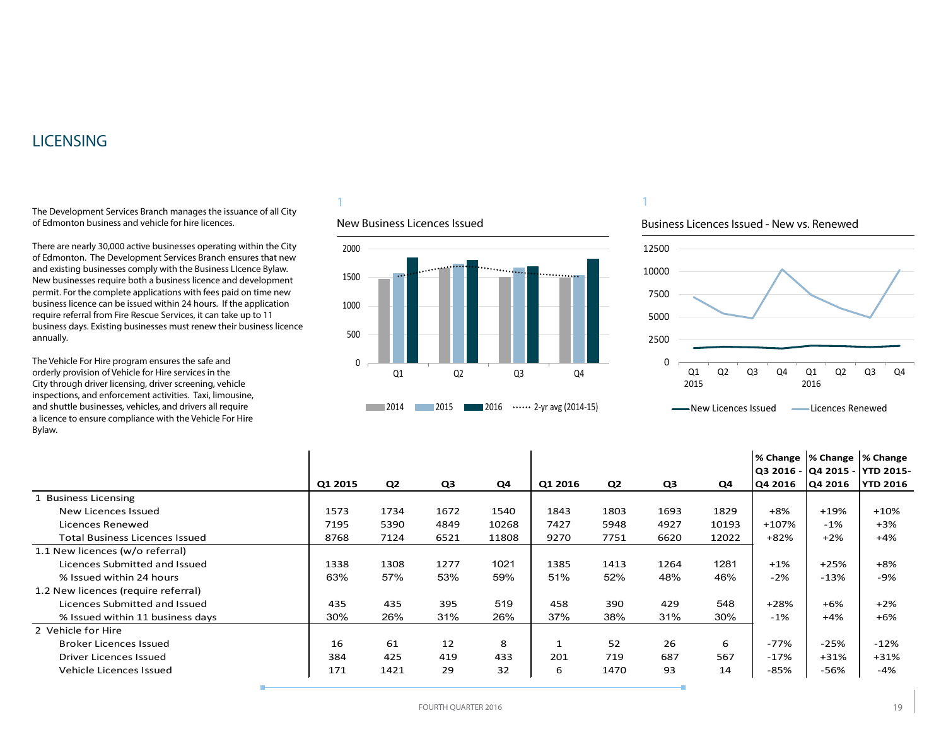### <span id="page-18-0"></span>**LICENSING**

The Development Services Branch manages the issuance of all City of Edmonton business and vehicle for hire licences.

There are nearly 30,000 active businesses operating within the City of Edmonton. The Development Services Branch ensures that new and existing businesses comply with the Business LIcence Bylaw. New businesses require both a business licence and development permit. For the complete applications with fees paid on time new business licence can be issued within 24 hours. If the application require referral from Fire Rescue Services, it can take up to 11 business days. Existing businesses must renew their business licence annually.

The Vehicle For Hire program ensures the safe and orderly provision of Vehicle for Hire services in the City through driver licensing, driver screening, vehicle inspections, and enforcement activities. Taxi, limousine, and shuttle businesses, vehicles, and drivers all require a licence to ensure compliance with the Vehicle For Hire Bylaw.

### 1

#### New Business Licences Issued



1

#### Business Licences Issued - New vs. Renewed



|                                     |         |                |      |       |         |      |      |       |         | % Change  % Change  % Change<br>Q3 2016 - Q4 2015 - YTD 2015- |                 |
|-------------------------------------|---------|----------------|------|-------|---------|------|------|-------|---------|---------------------------------------------------------------|-----------------|
|                                     | Q1 2015 | Q <sub>2</sub> | Q3   | Q4    | Q1 2016 | Q2   | Q3   | Q4    | Q4 2016 | Q4 2016                                                       | <b>YTD 2016</b> |
| 1 Business Licensing                |         |                |      |       |         |      |      |       |         |                                                               |                 |
| New Licences Issued                 | 1573    | 1734           | 1672 | 1540  | 1843    | 1803 | 1693 | 1829  | $+8%$   | $+19%$                                                        | $+10%$          |
| Licences Renewed                    | 7195    | 5390           | 4849 | 10268 | 7427    | 5948 | 4927 | 10193 | $+107%$ | $-1\%$                                                        | $+3%$           |
| Total Business Licences Issued      | 8768    | 7124           | 6521 | 11808 | 9270    | 7751 | 6620 | 12022 | $+82%$  | $+2%$                                                         | $+4%$           |
| 1.1 New licences (w/o referral)     |         |                |      |       |         |      |      |       |         |                                                               |                 |
| Licences Submitted and Issued       | 1338    | 1308           | 1277 | 1021  | 1385    | 1413 | 1264 | 1281  | $+1%$   | $+25%$                                                        | $+8%$           |
| % Issued within 24 hours            | 63%     | 57%            | 53%  | 59%   | 51%     | 52%  | 48%  | 46%   | $-2%$   | $-13%$                                                        | -9%             |
| 1.2 New licences (require referral) |         |                |      |       |         |      |      |       |         |                                                               |                 |
| Licences Submitted and Issued       | 435     | 435            | 395  | 519   | 458     | 390  | 429  | 548   | $+28%$  | $+6%$                                                         | $+2%$           |
| % Issued within 11 business days    | 30%     | 26%            | 31%  | 26%   | 37%     | 38%  | 31%  | 30%   | $-1%$   | $+4%$                                                         | $+6%$           |
| 2 Vehicle for Hire                  |         |                |      |       |         |      |      |       |         |                                                               |                 |
| <b>Broker Licences Issued</b>       | 16      | 61             | 12   | 8     |         | 52   | 26   | 6     | $-77%$  | $-25%$                                                        | $-12%$          |
| <b>Driver Licences Issued</b>       | 384     | 425            | 419  | 433   | 201     | 719  | 687  | 567   | $-17%$  | $+31%$                                                        | $+31%$          |
| Vehicle Licences Issued             | 171     | 1421           | 29   | 32    | 6       | 1470 | 93   | 14    | -85%    | -56%                                                          | -4%             |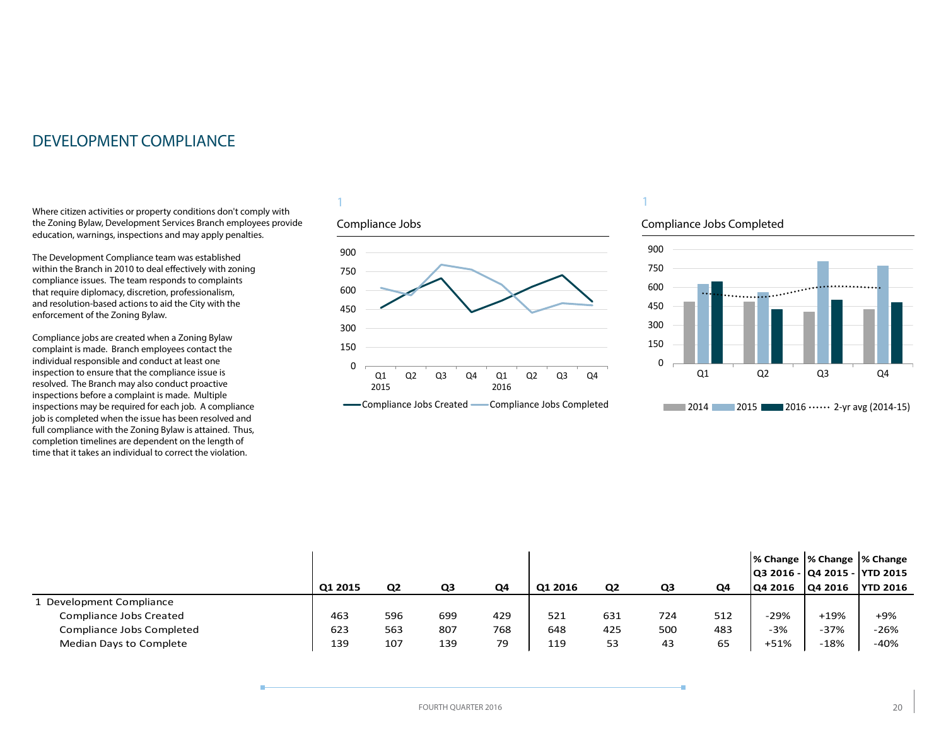### <span id="page-19-0"></span>DEVELOPMENT COMPLIANCE

Where citizen activities or property conditions don't comply with the Zoning Bylaw, Development Services Branch employees provide education, warnings, inspections and may apply penalties.

The Development Compliance team was established within the Branch in 2010 to deal effectively with zoning compliance issues. The team responds to complaints that require diplomacy, discretion, professionalism, and resolution-based actions to aid the City with the enforcement of the Zoning Bylaw.

Compliance jobs are created when a Zoning Bylaw complaint is made. Branch employees contact the individual responsible and conduct at least one inspection to ensure that the compliance issue is resolved. The Branch may also conduct proactive inspections before a complaint is made. Multiple inspections may be required for each job. A compliance job is completed when the issue has been resolved and full compliance with the Zoning Bylaw is attained. Thus, completion timelines are dependent on the length of time that it takes an individual to correct the violation.

#### 1

#### Compliance Jobs



### 1

#### Compliance Jobs Completed



|                           |         |                |     |     |         |                |     |     | % Change  % Change  % Change<br> Q3 2016 -  Q4 2015 -  YTD 2015 |                |                 |
|---------------------------|---------|----------------|-----|-----|---------|----------------|-----|-----|-----------------------------------------------------------------|----------------|-----------------|
|                           | Q1 2015 | Q <sub>2</sub> | QЗ  | Q4  | Q1 2016 | Q <sub>2</sub> | Q3  | Q4  | 104 2016                                                        | <b>Q4 2016</b> | <b>YTD 2016</b> |
| Development Compliance    |         |                |     |     |         |                |     |     |                                                                 |                |                 |
| Compliance Jobs Created   | 463     | 596            | 699 | 429 | 521     | 631            | 724 | 512 | $-29%$                                                          | $+19%$         | $+9%$           |
| Compliance Jobs Completed | 623     | 563            | 807 | 768 | 648     | 425            | 500 | 483 | -3%                                                             | $-37%$         | $-26%$          |
| Median Days to Complete   | 139     | 107            | 139 | 79  | 119     | 53             | 43  | 65  | $+51%$                                                          | $-18%$         | $-40%$          |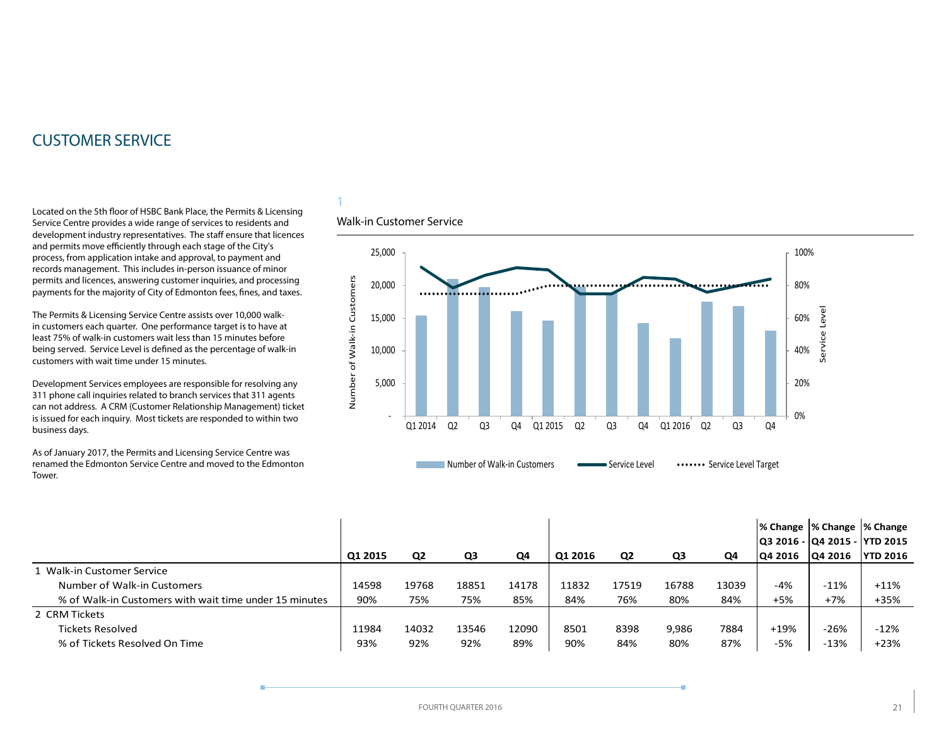### <span id="page-20-0"></span>CUSTOMER SERVICE

Located on the 5th floor of HSBC Bank Place, the Permits & Licensing Service Centre provides a wide range of services to residents and development industry representatives. The staff ensure that licences and permits move efficiently through each stage of the City's process, from application intake and approval, to payment and records management. This includes in-person issuance of minor permits and licences, answering customer inquiries, and processing payments for the majority of City of Edmonton fees, fines, and taxes.

The Permits & Licensing Service Centre assists over 10,000 walkin customers each quarter. One performance target is to have at least 75% of walk-in customers wait less than 15 minutes before being served. Service Level is defined as the percentage of walk-in customers with wait time under 15 minutes.

Development Services employees are responsible for resolving any 311 phone call inquiries related to branch services that 311 agents can not address. A CRM (Customer Relationship Management) ticket is issued for each inquiry. Most tickets are responded to within two business days.

As of January 2017, the Permits and Licensing Service Centre was renamed the Edmonton Service Centre and moved to the Edmonton Tower.

#### Walk-in Customer Service

1



|                                                        |         |                |       |       |         |                |       |       | % Change  % Change  % Change   |         |                  |
|--------------------------------------------------------|---------|----------------|-------|-------|---------|----------------|-------|-------|--------------------------------|---------|------------------|
|                                                        |         |                |       |       |         |                |       |       | Q3 2016 -  Q4 2015 -  YTD 2015 |         |                  |
|                                                        | Q1 2015 | Q <sub>2</sub> | Q3    | Q4    | Q1 2016 | Q <sub>2</sub> | Q3    | Q4    | <b>Q4 2016</b>                 | Q4 2016 | <b>IYTD 2016</b> |
| 1 Walk-in Customer Service                             |         |                |       |       |         |                |       |       |                                |         |                  |
| Number of Walk-in Customers                            | 14598   | 19768          | 18851 | 14178 | 11832   | 17519          | 16788 | 13039 | $-4%$                          | $-11%$  | $+11%$           |
| % of Walk-in Customers with wait time under 15 minutes | 90%     | 75%            | 75%   | 85%   | 84%     | 76%            | 80%   | 84%   | $+5%$                          | $+7%$   | $+35%$           |
| 2 CRM Tickets                                          |         |                |       |       |         |                |       |       |                                |         |                  |
| Tickets Resolved                                       | 11984   | 14032          | 13546 | 12090 | 8501    | 8398           | 9,986 | 7884  | $+19%$                         | $-26%$  | $-12%$           |
| % of Tickets Resolved On Time                          | 93%     | 92%            | 92%   | 89%   | 90%     | 84%            | 80%   | 87%   | -5%                            | $-13%$  | $+23%$           |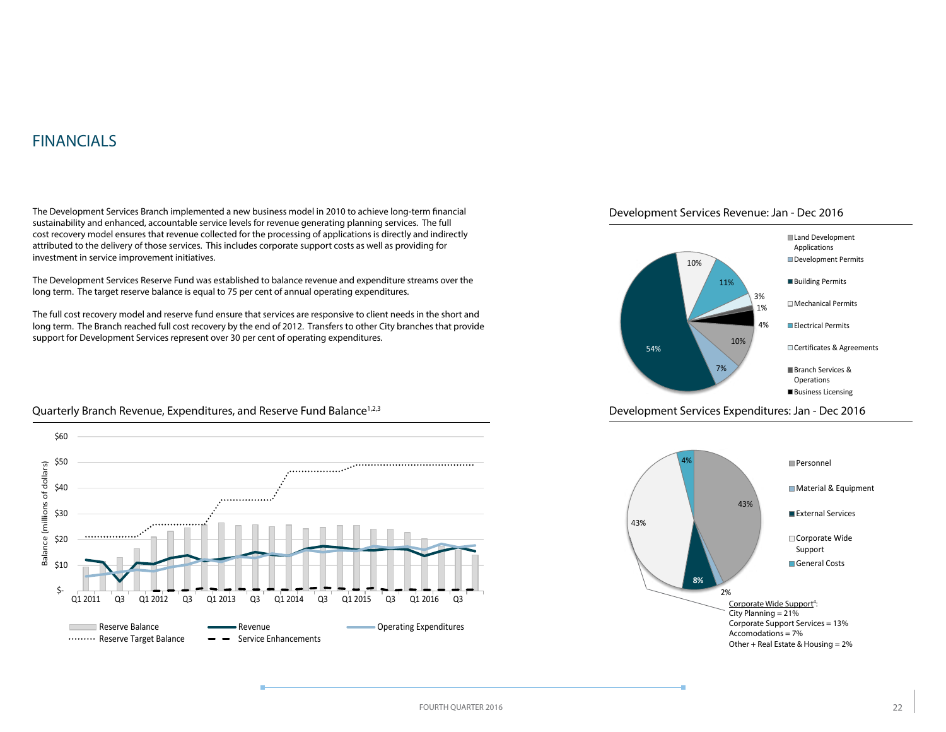### <span id="page-21-0"></span>FINANCIALS

\$50

\$60

The Development Services Branch implemented a new business model in 2010 to achieve long-term financial sustainability and enhanced, accountable service levels for revenue generating planning services. The full cost recovery model ensures that revenue collected for the processing of applications is directly and indirectly attributed to the delivery of those services. This includes corporate support costs as well as providing for investment in service improvement initiatives.

The Development Services Reserve Fund was established to balance revenue and expenditure streams over the long term. The target reserve balance is equal to 75 per cent of annual operating expenditures.

The full cost recovery model and reserve fund ensure that services are responsive to client needs in the short and long term. The Branch reached full cost recovery by the end of 2012. Transfers to other City branches that provide support for Development Services represent over 30 per cent of operating expenditures.





Development Services Expenditures: Jan - Dec 2016



#### Quarterly Branch Revenue, Expenditures, and Reserve Fund Balance<sup>1,2,3</sup>



 $, . . . . . . . . . . . . . . . .$